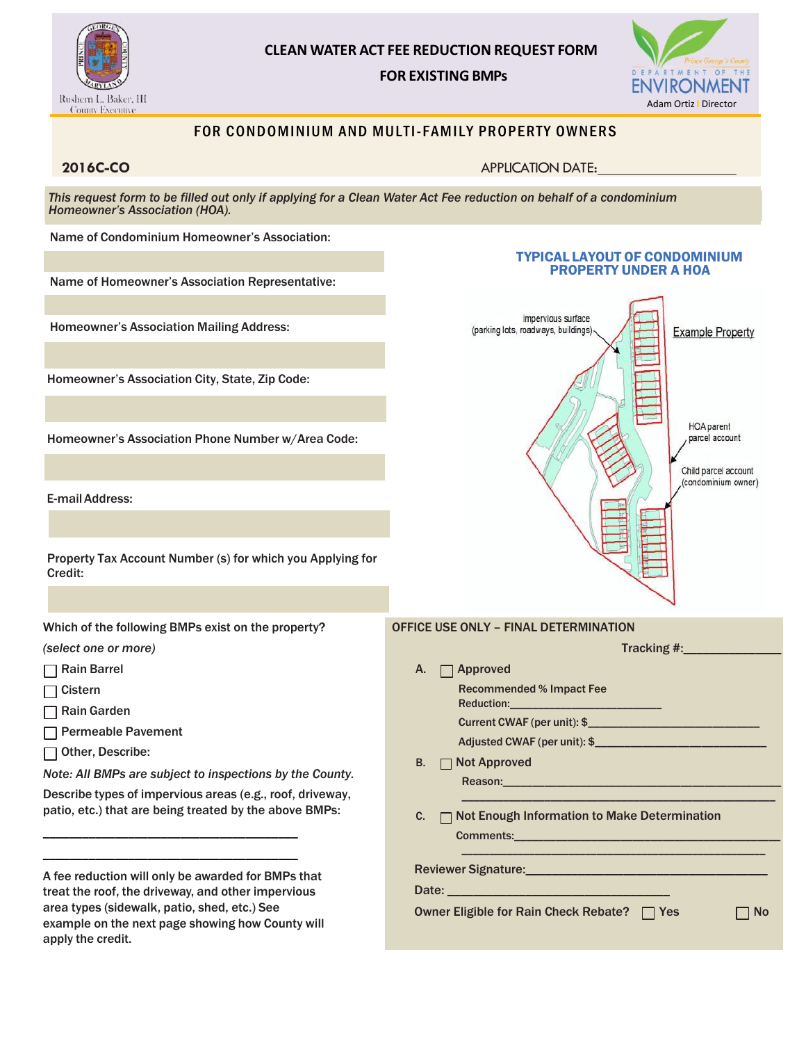

## **CLEAN WATER ACT FEE REDUCTION REQUEST FORM FOR EXISTING BMPs**



### FOR CONDOMINIUM AND MULTI-FAMILY PROPERTY OWNERS

**2016C-CO** APPLICATION DATE:

*This request form to be filled out only if applying for a Clean Water Act Fee reduction on behalf of a condominium Homeowner's Association (HOA).*

Name of Condominium Homeowner's Association:

Name of Homeowner's Association Representative:

Homeowner's Association Mailing Address:

Homeowner's Association City, State, Zip Code:

Homeowner's Association Phone Number w/Area Code:

E-mailAddress:

Property Tax Account Number (s) for which you Applying for Credit:

Which of the following BMPs exist on the property?

*(select one or more)* 

- **□ Rain Barrel**
- $\Box$  Cistern
- **□ Rain Garden**
- Permeable Pavement
- Other, Describe:

*Note: All BMPs are subject to inspections by the County.*

Describe types of impervious areas (e.g., roof, driveway, patio, etc.) that are being treated by the above BMPs:

A fee reduction will only be awarded for BMPs that treat the roof, the driveway, and other impervious area types (sidewalk, patio, shed, etc.) See example on the next page showing how County will apply the credit.

\_\_\_\_\_\_\_\_\_\_\_\_\_\_\_\_\_\_\_\_\_\_\_\_\_\_\_\_\_\_\_\_\_\_\_\_\_\_\_ \_\_\_\_\_\_\_\_\_\_\_\_\_\_\_\_\_\_\_\_\_\_\_\_\_\_\_\_\_\_\_\_\_\_\_\_\_\_\_



TYPICAL LAYOUT OF CONDOMINIUM PROPERTY UNDER A HOA

Reviewer Signature:\_\_\_\_\_\_\_\_\_\_\_\_\_\_\_\_\_\_\_\_\_\_\_\_\_\_\_\_\_\_\_\_\_\_\_\_\_

Date:  $\_\_$ 

Owner Eligible for Rain Check Rebate? | Yes | No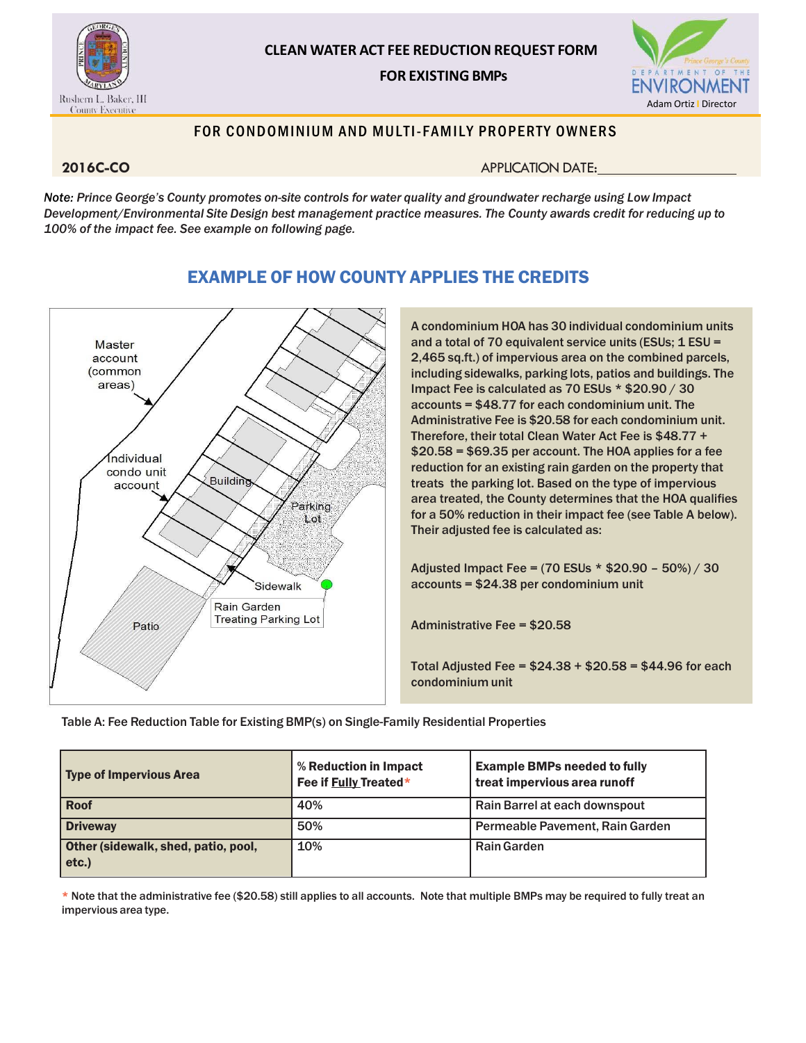

# **CLEAN WATER ACT FEE REDUCTION REQUEST FORM FOR EXISTING BMPs**



### FOR CONDOMINIUM AND MULTI-FAMILY PROPERTY OWNERS

**2016C-CO APPLICATION DATE:** 

Note: Prince George's County promotes on-site controls for water quality and groundwater recharge using Low Impact *Development/Environmental Site Design best management practice measures. The County awards credit for reducing up to 100% of the impact fee. See example on following page.*



# EXAMPLE OF HOW COUNTY APPLIES THE CREDITS

A condominium HOA has 30 individual condominium units and a total of 70 equivalent service units (ESUs; 1 ESU = 2,465 sq.ft.) of impervious area on the combined parcels, including sidewalks, parking lots, patios and buildings. The Impact Fee is calculated as 70 ESUs \* \$20.90 / 30 accounts = \$48.77 for each condominium unit. The Administrative Fee is \$20.58 for each condominium unit. Therefore, their total Clean Water Act Fee is \$48.77 + \$20.58 = \$69.35 per account. The HOA applies for a fee reduction for an existing rain garden on the property that treats the parking lot. Based on the type of impervious area treated, the County determines that the HOA qualifies for a 50% reduction in their impact fee (see Table A below). Their adjusted fee is calculated as:

Adjusted Impact Fee = (70 ESUs \* \$20.90 – 50%) / 30 accounts = \$24.38 per condominium unit

Administrative Fee = \$20.58

Total Adjusted Fee = \$24.38 + \$20.58 = \$44.96 for each condominium unit

Table A: Fee Reduction Table for Existing BMP(s) on Single-Family Residential Properties

| <b>Type of Impervious Area</b>               | % Reduction in Impact<br>Fee if Fully Treated* | <b>Example BMPs needed to fully</b><br>treat impervious area runoff |
|----------------------------------------------|------------------------------------------------|---------------------------------------------------------------------|
| <b>Roof</b>                                  | 40%                                            | Rain Barrel at each downspout                                       |
| <b>Driveway</b>                              | 50%                                            | Permeable Pavement, Rain Garden                                     |
| Other (sidewalk, shed, patio, pool,<br>etc.) | 10%                                            | <b>Rain Garden</b>                                                  |

\* Note that the administrative fee (\$20.58) still applies to all accounts. Note that multiple BMPs may be required to fully treat an impervious area type.